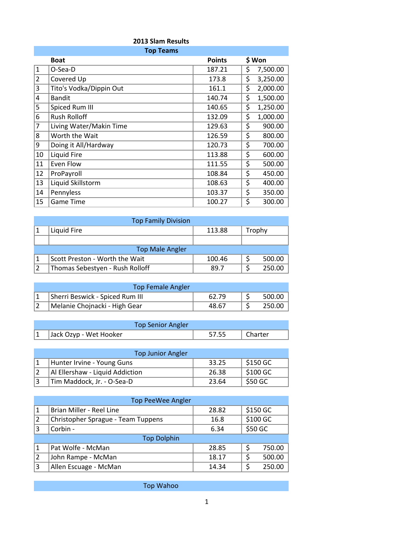|                | 2013 Slam Results       |               |    |          |  |
|----------------|-------------------------|---------------|----|----------|--|
|                | <b>Top Teams</b>        |               |    |          |  |
|                | <b>Boat</b>             | <b>Points</b> |    | \$ Won   |  |
| $\mathbf{1}$   | O-Sea-D                 | 187.21        | \$ | 7,500.00 |  |
| $\overline{2}$ | Covered Up              | 173.8         | \$ | 3,250.00 |  |
| 3              | Tito's Vodka/Dippin Out | 161.1         | \$ | 2,000.00 |  |
| 4              | <b>Bandit</b>           | 140.74        | \$ | 1,500.00 |  |
| 5              | Spiced Rum III          | 140.65        | \$ | 1,250.00 |  |
| 6              | <b>Rush Rolloff</b>     | 132.09        | \$ | 1,000.00 |  |
| 7              | Living Water/Makin Time | 129.63        | \$ | 900.00   |  |
| 8              | Worth the Wait          | 126.59        | \$ | 800.00   |  |
| 9              | Doing it All/Hardway    | 120.73        | \$ | 700.00   |  |
| 10             | Liquid Fire             | 113.88        | \$ | 600.00   |  |
| 11             | Even Flow               | 111.55        | \$ | 500.00   |  |
| 12             | ProPayroll              | 108.84        | \$ | 450.00   |  |
| 13             | Liquid Skillstorm       | 108.63        | \$ | 400.00   |  |
| 14             | Pennyless               | 103.37        | \$ | 350.00   |  |
| 15             | <b>Game Time</b>        | 100.27        | \$ | 300.00   |  |

| <b>Top Family Division</b> |                                 |        |  |        |  |  |
|----------------------------|---------------------------------|--------|--|--------|--|--|
|                            | Liquid Fire                     | 113.88 |  | Trophy |  |  |
|                            |                                 |        |  |        |  |  |
|                            | <b>Top Male Angler</b>          |        |  |        |  |  |
|                            | Scott Preston - Worth the Wait  | 100.46 |  | 500.00 |  |  |
|                            | Thomas Sebestyen - Rush Rolloff | 89.7   |  | 250.00 |  |  |

| <b>Top Female Angler</b>        |       |        |
|---------------------------------|-------|--------|
| Sherri Beswick - Spiced Rum III | 62.79 | 500.00 |
| Melanie Chojnacki - High Gear   | 48.67 | 250.00 |

| <b>Top Senior Angler</b> |       |         |
|--------------------------|-------|---------|
| Jack Ozyp - Wet Hooker   | 57.55 | Charter |

| <b>Top Junior Angler</b> |                                 |       |                        |  |  |
|--------------------------|---------------------------------|-------|------------------------|--|--|
|                          | Hunter Irvine - Young Guns      | 33.25 | $\frac{1}{2}$ \$150 GC |  |  |
|                          | Al Ellershaw - Liquid Addiction | 26.38 | \$100 GC               |  |  |
|                          | Tim Maddock, Jr. - O-Sea-D      | 23.64 | \$50 GC                |  |  |

| <b>Top PeeWee Angler</b> |                                    |       |         |          |
|--------------------------|------------------------------------|-------|---------|----------|
| $\mathbf{1}$             | Brian Miller - Reel Line           | 28.82 |         | \$150 GC |
| 2                        | Christopher Sprague - Team Tuppens | 16.8  |         | \$100 GC |
| 3                        | Corbin -                           | 6.34  | \$50 GC |          |
|                          | <b>Top Dolphin</b>                 |       |         |          |
| 1                        | Pat Wolfe - McMan                  | 28.85 | \$      | 750.00   |
| 2                        | John Rampe - McMan                 | 18.17 | \$      | 500.00   |
| 3                        | Allen Escuage - McMan              | 14.34 |         | 250.00   |

Top Wahoo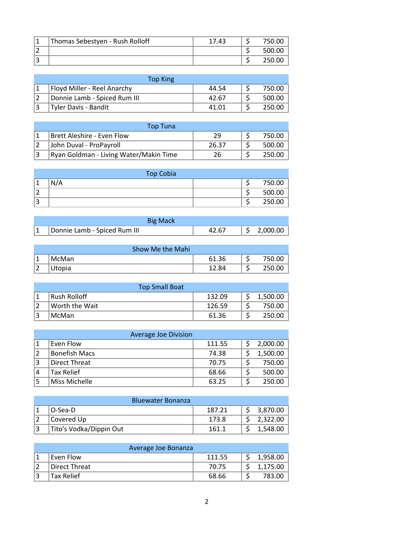| Thomas Sebestyen - Rush Rolloff | 17.43 | 750.00 |
|---------------------------------|-------|--------|
|                                 |       | 500.00 |
|                                 |       | 250.00 |

| Top King                     |       |        |
|------------------------------|-------|--------|
| Floyd Miller - Reel Anarchy  | 44.54 | 750.00 |
| Donnie Lamb - Spiced Rum III | 42.67 | 500.00 |
| Tyler Davis - Bandit         | 41.01 | 250.00 |

|     | <b>Top Tuna</b>                        |       |        |
|-----|----------------------------------------|-------|--------|
|     | Brett Aleshire - Even Flow             | 29    | 750.00 |
|     | John Duval - ProPayroll                | 26.37 | 500.00 |
| । ੨ | Ryan Goldman - Living Water/Makin Time | 26    | 250.00 |

|                | <b>Top Cobia</b> |  |        |
|----------------|------------------|--|--------|
| 1              | N/A              |  | 750.00 |
| $\overline{2}$ |                  |  | 500.00 |
| 3              |                  |  | 250.00 |

| <b>Big Mack</b>              |       |          |
|------------------------------|-------|----------|
| Donnie Lamb - Spiced Rum III | 42.67 | 2,000.00 |

|      | Show Me the Mahi |       |        |
|------|------------------|-------|--------|
| ∣ 1  | 'McMan           | 61.36 | 750.00 |
| 1 Z. | Utopia           | 12.84 | 250.00 |

| <b>Top Small Boat</b> |        |  |          |  |
|-----------------------|--------|--|----------|--|
| Rush Rolloff          | 132.09 |  | 1,500.00 |  |
| Worth the Wait        | 126.59 |  | 750.00   |  |
| 'McMan∣               | 61.36  |  | 250.00   |  |

| <b>Average Joe Division</b> |                      |        |  |          |  |
|-----------------------------|----------------------|--------|--|----------|--|
|                             | Even Flow            | 111.55 |  | 2,000.00 |  |
|                             | <b>Bonefish Macs</b> | 74.38  |  | 1,500.00 |  |
|                             | Direct Threat        | 70.75  |  | 750.00   |  |
| 4                           | <b>Tax Relief</b>    | 68.66  |  | 500.00   |  |
|                             | Miss Michelle        | 63.25  |  | 250.00   |  |

| <b>Bluewater Bonanza</b> |                         |        |  |          |
|--------------------------|-------------------------|--------|--|----------|
|                          | O-Sea-D                 | 187.21 |  | 3,870.00 |
|                          | Covered Up              | 173.8  |  | 2,322.00 |
|                          | Tito's Vodka/Dippin Out | 161.1  |  | 1,548.00 |

| Average Joe Bonanza |        |          |
|---------------------|--------|----------|
| Even Flow           | 111.55 | 1,958.00 |
| Direct Threat       | 70.75  | 1,175.00 |
| <b>Tax Relief</b>   | 68.66  | 783.00   |